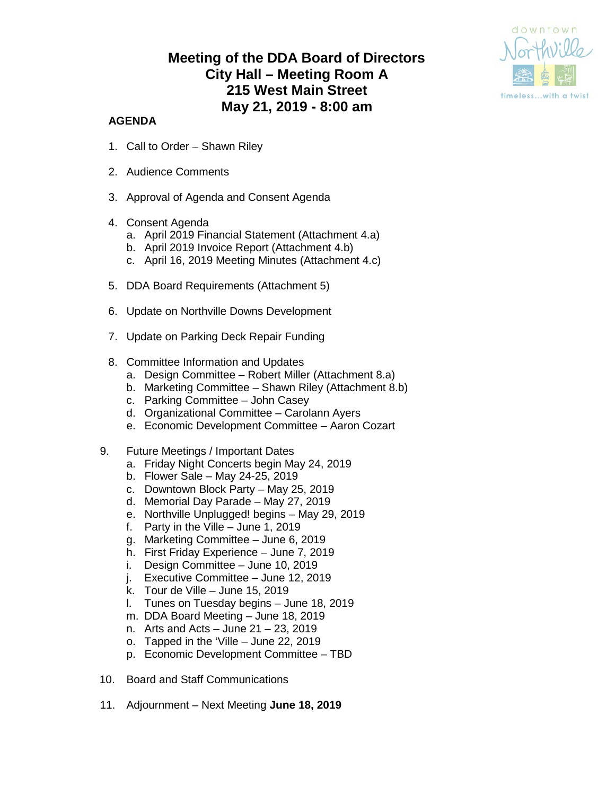# **Meeting of the DDA Board of Directors City Hall – Meeting Room A 215 West Main Street May 21, 2019 - 8:00 am**



### **AGENDA**

- 1. Call to Order Shawn Riley
- 2. Audience Comments
- 3. Approval of Agenda and Consent Agenda
- 4. Consent Agenda
	- a. April 2019 Financial Statement (Attachment 4.a)
	- b. April 2019 Invoice Report (Attachment 4.b)
	- c. April 16, 2019 Meeting Minutes (Attachment 4.c)
- 5. DDA Board Requirements (Attachment 5)
- 6. Update on Northville Downs Development
- 7. Update on Parking Deck Repair Funding
- 8. Committee Information and Updates
	- a. Design Committee Robert Miller (Attachment 8.a)
	- b. Marketing Committee Shawn Riley (Attachment 8.b)
	- c. Parking Committee John Casey
	- d. Organizational Committee Carolann Ayers
	- e. Economic Development Committee Aaron Cozart
- 9. Future Meetings / Important Dates
	- a. Friday Night Concerts begin May 24, 2019
	- b. Flower Sale May 24-25, 2019
	- c. Downtown Block Party May 25, 2019
	- d. Memorial Day Parade May 27, 2019
	- e. Northville Unplugged! begins May 29, 2019
	- f. Party in the Ville June 1, 2019
	- g. Marketing Committee June 6, 2019
	- h. First Friday Experience June 7, 2019
	- i. Design Committee June 10, 2019
	- j. Executive Committee June 12, 2019
	- k. Tour de Ville June 15, 2019
	- l. Tunes on Tuesday begins June 18, 2019
	- m. DDA Board Meeting June 18, 2019
	- n. Arts and Acts June 21 23, 2019
	- o. Tapped in the 'Ville June 22, 2019
	- p. Economic Development Committee TBD
- 10. Board and Staff Communications
- 11. Adjournment Next Meeting **June 18, 2019**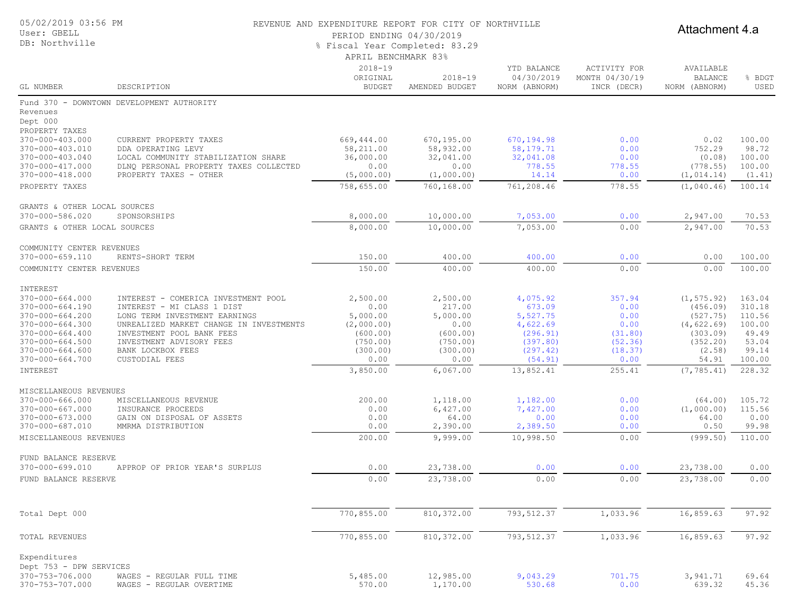| 05/02/2019 03:56 PM | REVENUE AND EXPENDITURE REPORT FOR CITY OF NORTHVILLE |  |  |  |
|---------------------|-------------------------------------------------------|--|--|--|

User: GBELL DB: Northville

Attachment 4.a

PERIOD ENDING 04/30/2019 % Fiscal Year Completed: 83.29

| APRIL BENCHMARK 83% |  |
|---------------------|--|

| GL NUMBER                                                               | DESCRIPTION                                                                                             | $2018 - 19$<br>ORIGINAL<br><b>BUDGET</b> | $2018 - 19$<br>AMENDED BUDGET   | YTD BALANCE<br>04/30/2019<br>NORM (ABNORM)   | <b>ACTIVITY FOR</b><br>MONTH 04/30/19<br>INCR (DECR) | AVAILABLE<br><b>BALANCE</b><br>NORM (ABNORM) | % BDGT<br>USED             |
|-------------------------------------------------------------------------|---------------------------------------------------------------------------------------------------------|------------------------------------------|---------------------------------|----------------------------------------------|------------------------------------------------------|----------------------------------------------|----------------------------|
| Revenues<br>Dept 000                                                    | Fund 370 - DOWNTOWN DEVELOPMENT AUTHORITY                                                               |                                          |                                 |                                              |                                                      |                                              |                            |
| PROPERTY TAXES<br>370-000-403.000<br>370-000-403.010                    | CURRENT PROPERTY TAXES<br>DDA OPERATING LEVY                                                            | 669,444.00<br>58,211.00                  | 670,195.00<br>58,932.00         | 670, 194.98<br>58, 179. 71                   | 0.00<br>0.00                                         | 0.02<br>752.29                               | 100.00<br>98.72            |
| 370-000-403.040<br>370-000-417.000<br>$370 - 000 - 418.000$             | LOCAL COMMUNITY STABILIZATION SHARE<br>DLNQ PERSONAL PROPERTY TAXES COLLECTED<br>PROPERTY TAXES - OTHER | 36,000.00<br>0.00<br>(5,000.00)          | 32,041.00<br>0.00<br>(1,000.00) | 32,041.08<br>778.55<br>14.14                 | 0.00<br>778.55<br>0.00                               | (0.08)<br>(778.55)<br>(1, 014.14)            | 100.00<br>100.00<br>(1.41) |
| PROPERTY TAXES                                                          |                                                                                                         | 758,655.00                               | 760,168.00                      | 761,208.46                                   | 778.55                                               | (1,040.46)                                   | 100.14                     |
| GRANTS & OTHER LOCAL SOURCES<br>370-000-586.020                         | SPONSORSHIPS                                                                                            | 8,000.00                                 | 10,000.00                       | 7,053.00                                     | 0.00                                                 | 2,947.00                                     | 70.53                      |
| GRANTS & OTHER LOCAL SOURCES                                            |                                                                                                         | 8,000.00                                 | 10,000.00                       | 7,053.00                                     | 0.00                                                 | 2,947.00                                     | 70.53                      |
| COMMUNITY CENTER REVENUES<br>370-000-659.110                            | RENTS-SHORT TERM                                                                                        | 150.00                                   | 400.00                          | 400.00                                       | 0.00                                                 |                                              | 100.00                     |
| COMMUNITY CENTER REVENUES                                               |                                                                                                         | 150.00                                   | 400.00                          | 400.00                                       | 0.00                                                 | 0.00<br>0.00                                 | 100.00                     |
|                                                                         |                                                                                                         |                                          |                                 |                                              |                                                      |                                              |                            |
| INTEREST<br>$370 - 000 - 664.000$<br>370-000-664.190<br>370-000-664.200 | INTEREST - COMERICA INVESTMENT POOL<br>INTEREST - MI CLASS 1 DIST<br>LONG TERM INVESTMENT EARNINGS      | 2,500.00<br>0.00<br>5,000.00             | 2,500.00<br>217.00<br>5,000.00  | 4,075.92<br>673.09<br>5,527.75               | 357.94<br>0.00<br>0.00                               | (1, 575.92)<br>(456.09)<br>(527.75)          | 163.04<br>310.18<br>110.56 |
| $370 - 000 - 664.300$<br>$370 - 000 - 664.400$<br>$370 - 000 - 664.500$ | UNREALIZED MARKET CHANGE IN INVESTMENTS<br>INVESTMENT POOL BANK FEES<br>INVESTMENT ADVISORY FEES        | (2,000.00)<br>(600.00)<br>(750.00)       | 0.00<br>(600.00)<br>(750.00)    | 4,622.69<br>(296.91)<br>(397.80)<br>(297.42) | 0.00<br>(31.80)<br>(52.36)                           | (4, 622.69)<br>(303.09)<br>(352.20)          | 100.00<br>49.49<br>53.04   |
| $370 - 000 - 664.600$<br>370-000-664.700                                | BANK LOCKBOX FEES<br>CUSTODIAL FEES                                                                     | (300.00)<br>0.00                         | (300.00)<br>0.00                | (54.91)                                      | (18.37)<br>0.00                                      | (2.58)<br>54.91                              | 99.14<br>100.00            |
| INTEREST                                                                |                                                                                                         | 3,850.00                                 | 6,067.00                        | 13,852.41                                    | 255.41                                               | (7, 785.41)                                  | 228.32                     |
| MISCELLANEOUS REVENUES<br>$370 - 000 - 666.000$                         | MISCELLANEOUS REVENUE                                                                                   | 200.00                                   | 1,118.00                        | 1,182.00                                     | 0.00                                                 | (64, 00)                                     | 105.72                     |
| 370-000-667.000                                                         | INSURANCE PROCEEDS                                                                                      | 0.00                                     | 6,427.00                        | 7,427.00                                     | 0.00                                                 | (1,000.00)                                   | 115.56                     |
| 370-000-673.000<br>370-000-687.010                                      | GAIN ON DISPOSAL OF ASSETS<br>MMRMA DISTRIBUTION                                                        | 0.00<br>0.00                             | 64.00<br>2,390.00               | 0.00<br>2,389.50                             | 0.00<br>0.00                                         | 64.00<br>0.50                                | 0.00<br>99.98              |
| MISCELLANEOUS REVENUES                                                  |                                                                                                         | 200.00                                   | 9,999.00                        | 10,998.50                                    | 0.00                                                 | (999.50)                                     | 110.00                     |
| FUND BALANCE RESERVE<br>370-000-699.010                                 | APPROP OF PRIOR YEAR'S SURPLUS                                                                          | 0.00                                     | 23,738.00                       | 0.00                                         | 0.00                                                 | 23,738.00                                    | 0.00                       |
| FUND BALANCE RESERVE                                                    |                                                                                                         | 0.00                                     | 23,738.00                       | 0.00                                         | 0.00                                                 | 23,738.00                                    | 0.00                       |
| Total Dept 000                                                          |                                                                                                         | 770,855.00                               | 810,372.00                      | 793, 512.37                                  | 1,033.96                                             | 16,859.63                                    | 97.92                      |
| TOTAL REVENUES                                                          |                                                                                                         | 770,855.00                               | 810,372.00                      | 793, 512.37                                  | 1,033.96                                             | 16,859.63                                    | 97.92                      |
| Expenditures                                                            |                                                                                                         |                                          |                                 |                                              |                                                      |                                              |                            |
| Dept 753 - DPW SERVICES                                                 |                                                                                                         |                                          |                                 |                                              |                                                      |                                              |                            |
| 370-753-706.000<br>370-753-707.000                                      | WAGES - REGULAR FULL TIME<br>WAGES - REGULAR OVERTIME                                                   | 5,485.00<br>570.00                       | 12,985.00<br>1,170.00           | 9,043.29<br>530.68                           | 701.75<br>0.00                                       | 3,941.71<br>639.32                           | 69.64<br>45.36             |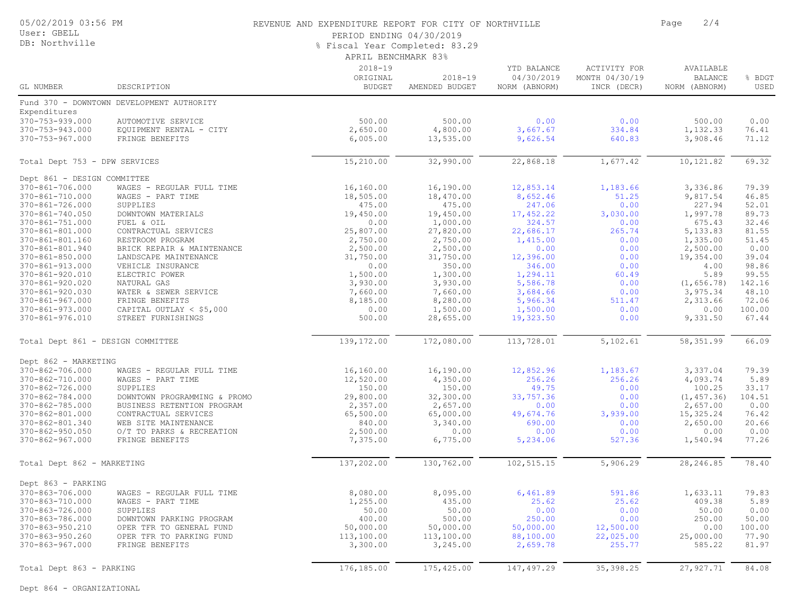05/02/2019 03:56 PM

#### User: GBELL DB: Northville

#### REVENUE AND EXPENDITURE REPORT FOR CITY OF NORTHVILLE **FOR A SET ASSESS** Page 2/4

PERIOD ENDING 04/30/2019

% Fiscal Year Completed: 83.29

|                                   |                                           | . Ilstail Ital Compieted. 09.29<br>APRIL BENCHMARK 83% |                               |                                            |                                               |                                              |                |
|-----------------------------------|-------------------------------------------|--------------------------------------------------------|-------------------------------|--------------------------------------------|-----------------------------------------------|----------------------------------------------|----------------|
| GL NUMBER                         | DESCRIPTION                               | $2018 - 19$<br>ORIGINAL<br><b>BUDGET</b>               | $2018 - 19$<br>AMENDED BUDGET | YTD BALANCE<br>04/30/2019<br>NORM (ABNORM) | ACTIVITY FOR<br>MONTH 04/30/19<br>INCR (DECR) | AVAILABLE<br><b>BALANCE</b><br>NORM (ABNORM) | % BDGT<br>USED |
|                                   | Fund 370 - DOWNTOWN DEVELOPMENT AUTHORITY |                                                        |                               |                                            |                                               |                                              |                |
| Expenditures                      |                                           |                                                        |                               |                                            |                                               |                                              |                |
| 370-753-939.000                   | AUTOMOTIVE SERVICE                        | 500.00                                                 | 500.00                        | 0.00                                       | 0.00                                          | 500.00                                       | 0.00           |
| 370-753-943.000                   | EQUIPMENT RENTAL - CITY                   | 2,650.00                                               | 4,800.00                      | 3,667.67                                   | 334.84                                        | 1,132.33                                     | 76.41          |
| 370-753-967.000                   | FRINGE BENEFITS                           | 6,005.00                                               | 13,535.00                     | 9,626.54                                   | 640.83                                        | 3,908.46                                     | 71.12          |
| Total Dept 753 - DPW SERVICES     |                                           | 15,210.00                                              | 32,990.00                     | 22,868.18                                  | 1,677.42                                      | 10,121.82                                    | 69.32          |
| Dept 861 - DESIGN COMMITTEE       |                                           |                                                        |                               |                                            |                                               |                                              |                |
| 370-861-706.000                   | WAGES - REGULAR FULL TIME                 | 16,160.00                                              | 16,190.00                     | 12,853.14                                  | 1,183.66                                      | 3,336.86                                     | 79.39          |
| 370-861-710.000                   | WAGES - PART TIME                         | 18,505.00                                              | 18,470.00                     | 8,652.46                                   | 51.25                                         | 9,817.54                                     | 46.85          |
| 370-861-726.000                   | SUPPLIES                                  | 475.00                                                 | 475.00                        | 247.06                                     | 0.00                                          | 227.94                                       | 52.01          |
| 370-861-740.050                   | DOWNTOWN MATERIALS                        | 19,450.00                                              | 19,450.00                     | 17,452.22                                  | 3,030.00                                      | 1,997.78                                     | 89.73          |
| 370-861-751.000                   | FUEL & OIL                                | 0.00                                                   | 1,000.00                      | 324.57                                     | 0.00                                          | 675.43                                       | 32.46          |
| 370-861-801.000                   | CONTRACTUAL SERVICES                      | 25,807.00                                              | 27,820.00                     | 22,686.17                                  | 265.74                                        | 5,133.83                                     | 81.55          |
| 370-861-801.160                   | RESTROOM PROGRAM                          | 2,750.00                                               | 2,750.00                      | 1,415.00                                   | 0.00                                          | 1,335.00                                     | 51.45          |
| 370-861-801.940                   | BRICK REPAIR & MAINTENANCE                | 2,500.00                                               | 2,500.00                      | 0.00                                       | 0.00                                          | 2,500.00                                     | 0.00           |
| 370-861-850.000                   | LANDSCAPE MAINTENANCE                     | 31,750.00                                              | 31,750.00                     | 12,396.00                                  | 0.00                                          | 19,354.00                                    | 39.04          |
| 370-861-913.000                   | VEHICLE INSURANCE                         | 0.00                                                   | 350.00                        | 346.00                                     | 0.00                                          | 4.00                                         | 98.86          |
| 370-861-920.010                   | ELECTRIC POWER                            | 1,500.00                                               | 1,300.00                      | 1,294.11                                   | 60.49                                         | 5.89                                         | 99.55          |
| 370-861-920.020                   | NATURAL GAS                               | 3,930.00                                               | 3,930.00                      | 5,586.78                                   | 0.00                                          | (1, 656.78)                                  | 142.16         |
| 370-861-920.030                   | WATER & SEWER SERVICE                     | 7,660.00                                               | 7,660.00                      | 3,684.66                                   | 0.00                                          | 3,975.34                                     | 48.10          |
| 370-861-967.000                   | FRINGE BENEFITS                           | 8,185.00                                               | 8,280.00                      | 5,966.34                                   | 511.47                                        | 2,313.66                                     | 72.06          |
| 370-861-973.000                   | CAPITAL OUTLAY $<$ \$5,000                | 0.00                                                   | 1,500.00                      | 1,500.00                                   | 0.00                                          | 0.00                                         | 100.00         |
| 370-861-976.010                   | STREET FURNISHINGS                        | 500.00                                                 | 28,655.00                     | 19,323.50                                  | 0.00                                          | 9,331.50                                     | 67.44          |
| Total Dept 861 - DESIGN COMMITTEE |                                           | 139,172.00                                             | 172,080.00                    | 113,728.01                                 | 5,102.61                                      | 58,351.99                                    | 66.09          |
| Dept 862 - MARKETING              |                                           |                                                        |                               |                                            |                                               |                                              |                |
| 370-862-706.000                   | WAGES - REGULAR FULL TIME                 | 16,160.00                                              | 16,190.00                     | 12,852.96                                  | 1,183.67                                      | 3,337.04                                     | 79.39          |
| 370-862-710.000                   | WAGES - PART TIME                         | 12,520.00                                              | 4,350.00                      | 256.26                                     | 256.26                                        | 4,093.74                                     | 5.89           |
| 370-862-726.000                   | SUPPLIES                                  | 150.00                                                 | 150.00                        | 49.75                                      | 0.00                                          | 100.25                                       | 33.17          |
| 370-862-784.000                   | DOWNTOWN PROGRAMMING & PROMO              | 29,800.00                                              | 32,300.00                     | 33,757.36                                  | 0.00                                          | (1, 457.36)                                  | 104.51         |
| 370-862-785.000                   | BUSINESS RETENTION PROGRAM                | 2,357.00                                               | 2,657.00                      | 0.00                                       | 0.00                                          | 2,657.00                                     | 0.00           |
| 370-862-801.000                   | CONTRACTUAL SERVICES                      | 65,500.00                                              | 65,000.00                     | 49,674.76                                  | 3,939.00                                      | 15,325.24                                    | 76.42          |
| 370-862-801.340                   | WEB SITE MAINTENANCE                      | 840.00                                                 | 3,340.00                      | 690.00                                     | 0.00                                          | 2,650.00                                     | 20.66          |
| 370-862-950.050                   | O/T TO PARKS & RECREATION                 | 2,500.00                                               | 0.00                          | 0.00                                       | 0.00                                          | 0.00                                         | 0.00           |
| 370-862-967.000                   | FRINGE BENEFITS                           | 7,375.00                                               | 6,775.00                      | 5,234.06                                   | 527.36                                        | 1,540.94                                     | 77.26          |
| Total Dept 862 - MARKETING        |                                           | 137,202.00                                             | 130,762.00                    | 102,515.15                                 | 5,906.29                                      | 28,246.85                                    | 78.40          |
| Dept 863 - PARKING                |                                           |                                                        |                               |                                            |                                               |                                              |                |
| 370-863-706.000                   | WAGES - REGULAR FULL TIME                 | 8,080.00                                               | 8,095.00                      | 6,461.89                                   | 591.86                                        | 1,633.11                                     | 79.83          |
| 370-863-710.000                   | WAGES - PART TIME                         | 1,255.00                                               | 435.00                        | 25.62                                      | 25.62                                         | 409.38                                       | 5.89           |
| 370-863-726.000                   | SUPPLIES                                  | 50.00                                                  | 50.00                         | 0.00                                       | 0.00                                          | 50.00                                        | 0.00           |

370-863-786.000 DOWNTOWN PARKING PROGRAM 400.00 500.00 250.00 0.00 250.00 50.00 370-863-950.210 OPER TFR TO GENERAL FUND 50,000.00 50,000.00 50,000.00 12,500.00 0.00 100.00 370-863-950.260 OPER TFR TO PARKING FUND 113,100.00 113,100.00 88,100.00 22,025.00 25,000.00 77.90 370-863-967.000 FRINGE BENEFITS 3,300.00 3,245.00 2,659.78 255.77 585.22 81.97

Total Dept 863 - PARKING 176,185.00 175,425.00 147,497.29 35,398.25 27,927.71 84.08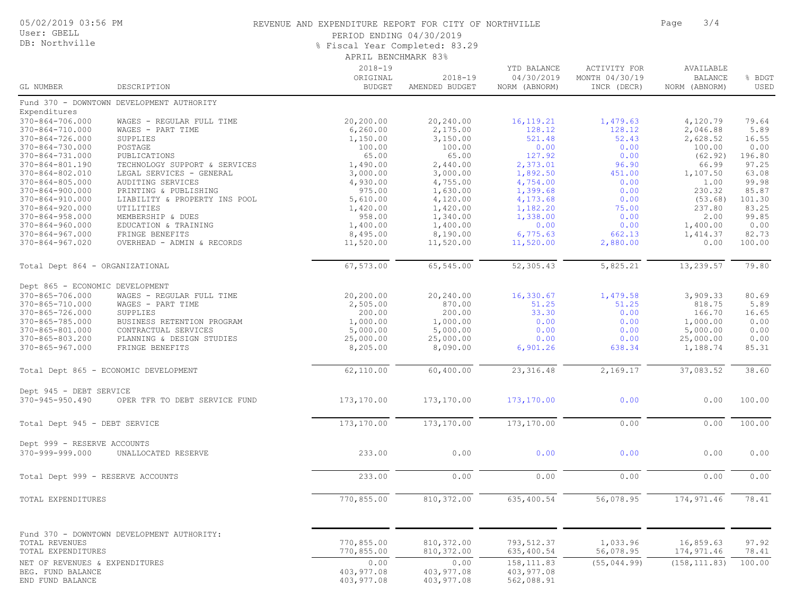#### 05/02/2019 03:56 PM

#### User: GBELL DB: Northville

#### REVENUE AND EXPENDITURE REPORT FOR CITY OF NORTHVILLE **FOR SALE 2008** Page 3/4

PERIOD ENDING 04/30/2019

APRIL BENCHMARK 83% % Fiscal Year Completed: 83.29

| GL NUMBER                                           | DESCRIPTION                                | $2018 - 19$<br>ORIGINAL<br><b>BUDGET</b> | $2018 - 19$<br>AMENDED BUDGET | YTD BALANCE<br>04/30/2019<br>NORM (ABNORM)                                     | ACTIVITY FOR<br>MONTH 04/30/19<br>INCR (DECR) | AVAILABLE<br><b>BALANCE</b><br>NORM (ABNORM) | % BDGT<br>USED |
|-----------------------------------------------------|--------------------------------------------|------------------------------------------|-------------------------------|--------------------------------------------------------------------------------|-----------------------------------------------|----------------------------------------------|----------------|
|                                                     | Fund 370 - DOWNTOWN DEVELOPMENT AUTHORITY  |                                          |                               |                                                                                |                                               |                                              |                |
| Expenditures                                        |                                            |                                          |                               |                                                                                |                                               |                                              |                |
| $370 - 864 - 706.000$                               | WAGES - REGULAR FULL TIME                  | 20,200.00                                | 20,240.00                     | 16, 119. 21                                                                    | 1,479.63                                      | 4,120.79                                     | 79.64          |
| 370-864-710.000                                     | WAGES - PART TIME                          | 6, 260.00                                | 2,175.00                      | 128.12                                                                         | 128.12                                        | 2,046.88                                     | 5.89           |
| $370 - 864 - 726.000$                               | SUPPLIES                                   | 1,150.00                                 | 3,150.00                      | 521.48                                                                         | 52.43                                         | 2,628.52                                     | 16.55          |
| 370-864-730.000                                     | POSTAGE                                    | 100.00                                   | 100.00                        | 0.00                                                                           | 0.00                                          | 100.00                                       | 0.00           |
| $370 - 864 - 731.000$                               | PUBLICATIONS                               | 65.00                                    | 65.00                         | 127.92                                                                         | 0.00                                          | (62.92)                                      | 196.80         |
| 370-864-801.190                                     | TECHNOLOGY SUPPORT & SERVICES              | 1,490.00                                 | 2,440.00                      | 2,373.01                                                                       | 96.90                                         | 66.99                                        | 97.25          |
| $370 - 864 - 802.010$                               | LEGAL SERVICES - GENERAL                   | 3,000.00                                 | 3,000.00                      | 1,892.50                                                                       | 451.00                                        | 1,107.50                                     | 63.08          |
| $370 - 864 - 805.000$                               | AUDITING SERVICES                          | 4,930.00                                 | 4,755.00                      | 4,754.00                                                                       | 0.00                                          | 1.00                                         | 99.98          |
| $370 - 864 - 900.000$                               | PRINTING & PUBLISHING                      | 975.00                                   | 1,630.00                      | 1,399.68                                                                       | 0.00                                          | 230.32                                       | 85.87          |
| $370 - 864 - 910.000$                               | LIABILITY & PROPERTY INS POOL              | 5,610.00                                 | 4,120.00                      | 4,173.68                                                                       | 0.00                                          | (53.68)                                      | 101.30         |
| $370 - 864 - 920.000$                               | UTILITIES                                  | 1,420.00                                 | 1,420.00                      | 1,182.20                                                                       | 75.00                                         | 237.80                                       | 83.25          |
| $370 - 864 - 958.000$                               | MEMBERSHIP & DUES                          | 958.00                                   | 1,340.00                      | 1,338.00                                                                       | 0.00                                          | 2.00                                         | 99.85          |
| $370 - 864 - 960.000$                               | EDUCATION & TRAINING                       | 1,400.00                                 | 1,400.00                      | 0.00                                                                           | 0.00                                          | 1,400.00                                     | 0.00           |
| $370 - 864 - 967.000$                               | FRINGE BENEFITS                            | 8,495.00                                 | 8,190.00                      | 6,775.63                                                                       | 662.13                                        | 1,414.37                                     | 82.73          |
| $370 - 864 - 967.020$                               | OVERHEAD - ADMIN & RECORDS                 | 11,520.00                                | 11,520.00                     | 11,520.00                                                                      | 2,880.00                                      | 0.00                                         | 100.00         |
| Total Dept 864 - ORGANIZATIONAL                     |                                            | 67,573.00                                | 65,545.00                     | 52,305.43                                                                      | 5,825.21                                      | 13,239.57                                    | 79.80          |
| Dept 865 - ECONOMIC DEVELOPMENT                     |                                            |                                          |                               |                                                                                |                                               |                                              |                |
| 370-865-706.000                                     | WAGES - REGULAR FULL TIME                  | 20,200.00                                | 20,240.00                     | 16,330.67                                                                      | 1,479.58                                      | 3,909.33                                     | 80.69          |
| 370-865-710.000                                     | WAGES - PART TIME                          | 2,505.00                                 | 870.00                        | 51.25                                                                          | 51.25                                         | 818.75                                       | 5.89           |
| $370 - 865 - 726.000$                               | SUPPLIES                                   | 200.00                                   | 200.00                        | 33.30                                                                          | 0.00                                          | 166.70                                       | 16.65          |
| 370-865-785.000                                     | BUSINESS RETENTION PROGRAM                 | 1,000.00                                 | 1,000.00                      | 0.00                                                                           | 0.00                                          | 1,000.00                                     | 0.00           |
| 370-865-801.000                                     | CONTRACTUAL SERVICES                       | 5,000.00                                 | 5,000.00                      | 0.00                                                                           | 0.00                                          | 5,000.00                                     | 0.00           |
| 370-865-803.200                                     | PLANNING & DESIGN STUDIES                  | 25,000.00                                | 25,000.00                     | 0.00                                                                           | 0.00                                          | 25,000.00                                    | 0.00           |
| $370 - 865 - 967.000$                               | FRINGE BENEFITS                            | 8,205.00                                 | 8,090.00                      | 6,901.26                                                                       | 638.34                                        | 1,188.74                                     | 85.31          |
|                                                     | Total Dept 865 - ECONOMIC DEVELOPMENT      | 62,110.00                                | 60,400.00                     | 23, 316.48                                                                     | 2,169.17                                      | 37,083.52                                    | 38.60          |
| Dept 945 - DEBT SERVICE                             |                                            |                                          |                               |                                                                                |                                               |                                              |                |
| $370 - 945 - 950.490$                               | OPER TFR TO DEBT SERVICE FUND              | 173,170.00                               | 173,170.00                    | 173, 170.00                                                                    | 0.00                                          | 0.00                                         | 100.00         |
| Total Dept 945 - DEBT SERVICE                       |                                            | 173,170.00                               | 173,170.00                    | 173,170.00                                                                     | 0.00                                          | 0.00                                         | 100.00         |
| Dept 999 - RESERVE ACCOUNTS                         |                                            |                                          |                               |                                                                                |                                               |                                              |                |
| 370-999-999.000                                     | UNALLOCATED RESERVE                        | 233.00                                   | 0.00                          | 0.00                                                                           | 0.00                                          | 0.00                                         | 0.00           |
| Total Dept 999 - RESERVE ACCOUNTS                   |                                            | 233.00                                   | 0.00                          | $\ensuremath{\mathbf{0}}$ . $\ensuremath{\mathbf{0}}\,\ensuremath{\mathbf{0}}$ | 0.00                                          | 0.00                                         | 0.00           |
| TOTAL EXPENDITURES                                  |                                            | 770,855.00                               | 810, 372.00                   | 635,400.54                                                                     | 56,078.95                                     | 174,971.46                                   | 78.41          |
|                                                     | Fund 370 - DOWNTOWN DEVELOPMENT AUTHORITY: |                                          |                               |                                                                                |                                               |                                              |                |
| TOTAL REVENUES                                      |                                            | 770,855.00                               | 810, 372.00                   | 793, 512.37                                                                    | 1,033.96                                      | 16,859.63                                    | 97.92          |
| TOTAL EXPENDITURES                                  |                                            | 770,855.00                               | 810, 372.00                   | 635,400.54                                                                     | 56,078.95                                     | 174,971.46                                   | 78.41          |
| NET OF REVENUES & EXPENDITURES<br>BEG. FUND BALANCE |                                            | 0.00<br>403, 977.08                      | 0.00<br>403, 977.08           | 158, 111.83<br>403, 977.08                                                     | (55, 044, 99)                                 | (158, 111.83)                                | 100.00         |

END FUND BALANCE 62,088.91 403,977.08 403,977.08 562,088.91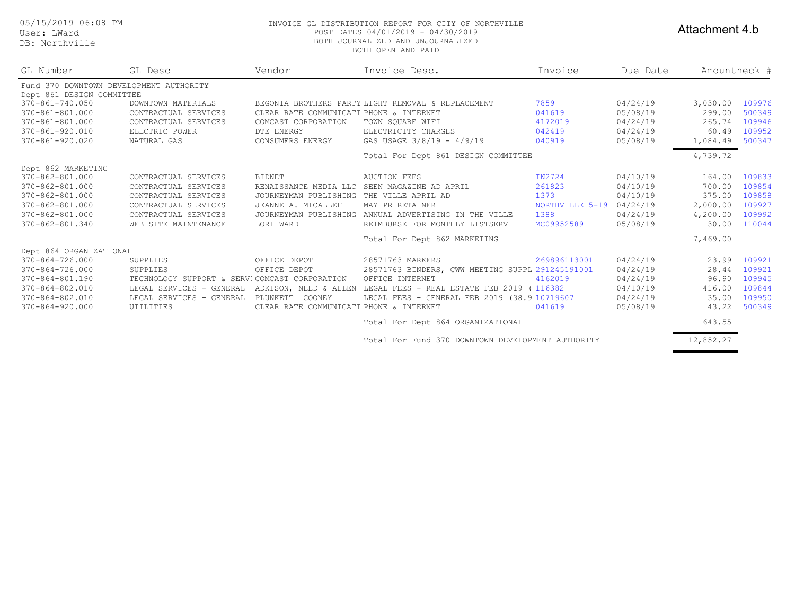User: LWard

DB: Northville

#### 05/15/2019 06:08 PM INVOICE GL DISTRIBUTION REPORT FOR CITY OF NORTHVILLE POST DATES 04/01/2019 - 04/30/2019 BOTH JOURNALIZED AND UNJOURNALIZED BOTH OPEN AND PAID

#### Attachment 4.b

| GL Number                               | GL Desc                                       | Vendor                                   | Invoice Desc.                                         | Invoice         | Due Date | Amountheck # |        |
|-----------------------------------------|-----------------------------------------------|------------------------------------------|-------------------------------------------------------|-----------------|----------|--------------|--------|
| Fund 370 DOWNTOWN DEVELOPMENT AUTHORITY |                                               |                                          |                                                       |                 |          |              |        |
| Dept 861 DESIGN COMMITTEE               |                                               |                                          |                                                       |                 |          |              |        |
| 370-861-740.050                         | DOWNTOWN MATERIALS                            |                                          | BEGONIA BROTHERS PARTY LIGHT REMOVAL & REPLACEMENT    | 7859            | 04/24/19 | 3,030.00     | 109976 |
| 370-861-801.000                         | CONTRACTUAL SERVICES                          | CLEAR RATE COMMUNICATI PHONE & INTERNET  |                                                       | 041619          | 05/08/19 | 299.00       | 500349 |
| 370-861-801.000                         | CONTRACTUAL SERVICES                          | COMCAST CORPORATION                      | TOWN SOUARE WIFI                                      | 4172019         | 04/24/19 | 265.74       | 109946 |
| $370 - 861 - 920.010$                   | ELECTRIC POWER                                | DTE ENERGY                               | ELECTRICITY CHARGES                                   | 042419          | 04/24/19 | 60.49        | 109952 |
| $370 - 861 - 920.020$                   | NATURAL GAS                                   | CONSUMERS ENERGY                         | GAS USAGE 3/8/19 - 4/9/19                             | 040919          | 05/08/19 | 1,084.49     | 500347 |
|                                         |                                               |                                          | Total For Dept 861 DESIGN COMMITTEE                   |                 |          | 4,739.72     |        |
| Dept 862 MARKETING                      |                                               |                                          |                                                       |                 |          |              |        |
| 370-862-801.000                         | CONTRACTUAL SERVICES                          | <b>BIDNET</b>                            | <b>AUCTION FEES</b>                                   | IN2724          | 04/10/19 | 164.00       | 109833 |
| 370-862-801.000                         | CONTRACTUAL SERVICES                          | RENAISSANCE MEDIA LLC                    | SEEN MAGAZINE AD APRIL                                | 261823          | 04/10/19 | 700.00       | 109854 |
| 370-862-801.000                         | CONTRACTUAL SERVICES                          | JOURNEYMAN PUBLISHING THE VILLE APRIL AD |                                                       | 1373            | 04/10/19 | 375.00       | 109858 |
| 370-862-801.000                         | CONTRACTUAL SERVICES                          | JEANNE A. MICALLEF                       | MAY PR RETAINER                                       | NORTHVILLE 5-19 | 04/24/19 | 2,000.00     | 109927 |
| 370-862-801.000                         | CONTRACTUAL SERVICES                          |                                          | JOURNEYMAN PUBLISHING ANNUAL ADVERTISING IN THE VILLE | 1388            | 04/24/19 | 4,200.00     | 109992 |
| 370-862-801.340                         | WEB SITE MAINTENANCE                          | LORI WARD                                | REIMBURSE FOR MONTHLY LISTSERV                        | MC09952589      | 05/08/19 | 30.00        | 110044 |
|                                         |                                               |                                          | Total For Dept 862 MARKETING                          |                 |          | 7,469.00     |        |
| Dept 864 ORGANIZATIONAL                 |                                               |                                          |                                                       |                 |          |              |        |
| 370-864-726.000                         | SUPPLIES                                      | OFFICE DEPOT                             | 28571763 MARKERS                                      | 269896113001    | 04/24/19 | 23.99        | 109921 |
| 370-864-726.000                         | SUPPLIES                                      | OFFICE DEPOT                             | 28571763 BINDERS, CWW MEETING SUPPL 291245191001      |                 | 04/24/19 | 28.44        | 109921 |
| 370-864-801.190                         | TECHNOLOGY SUPPORT & SERVICOMCAST CORPORATION |                                          | OFFICE INTERNET                                       | 4162019         | 04/24/19 | 96.90        | 109945 |
| 370-864-802.010                         | LEGAL SERVICES - GENERAL                      | ADKISON, NEED & ALLEN                    | LEGAL FEES - REAL ESTATE FEB 2019 (116382             |                 | 04/10/19 | 416.00       | 109844 |
| 370-864-802.010                         | LEGAL SERVICES - GENERAL                      | PLUNKETT COONEY                          | LEGAL FEES - GENERAL FEB 2019 (38.9 10719607          |                 | 04/24/19 | 35.00        | 109950 |
| $370 - 864 - 920.000$                   | UTILITIES                                     | CLEAR RATE COMMUNICATI PHONE & INTERNET  |                                                       | 041619          | 05/08/19 | 43.22        | 500349 |
|                                         |                                               |                                          | Total For Dept 864 ORGANIZATIONAL                     |                 |          | 643.55       |        |

Total For Fund 370 DOWNTOWN DEVELOPMENT AUTHORITY 12,852.27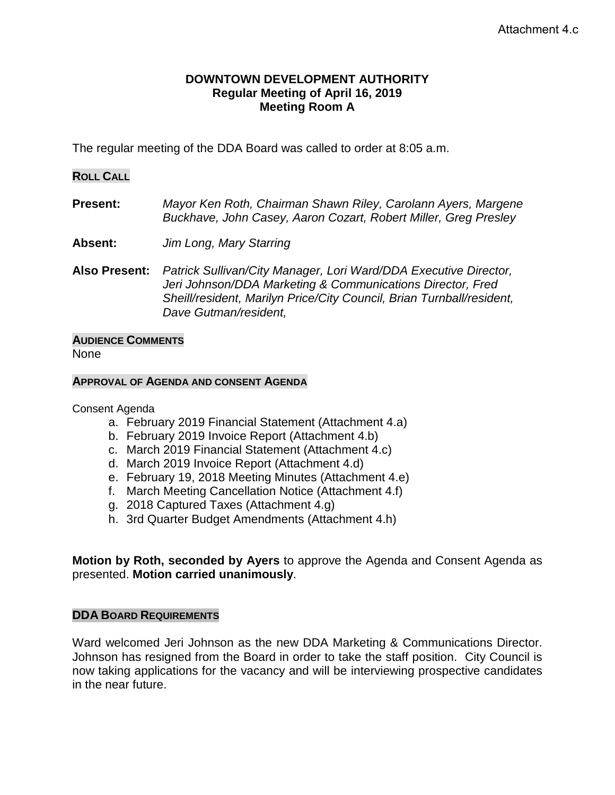#### **DOWNTOWN DEVELOPMENT AUTHORITY Regular Meeting of April 16, 2019 Meeting Room A**

The regular meeting of the DDA Board was called to order at 8:05 a.m.

#### **ROLL CALL**

**Present:** *Mayor Ken Roth, Chairman Shawn Riley, Carolann Ayers, Margene Buckhave, John Casey, Aaron Cozart, Robert Miller, Greg Presley*

- **Absent:** *Jim Long, Mary Starring*
- **Also Present:** *Patrick Sullivan/City Manager, Lori Ward/DDA Executive Director, Jeri Johnson/DDA Marketing & Communications Director, Fred Sheill/resident, Marilyn Price/City Council, Brian Turnball/resident, Dave Gutman/resident,*

### **AUDIENCE COMMENTS**

None

#### **APPROVAL OF AGENDA AND CONSENT AGENDA**

Consent Agenda

- a. February 2019 Financial Statement (Attachment 4.a)
- b. February 2019 Invoice Report (Attachment 4.b)
- c. March 2019 Financial Statement (Attachment 4.c)
- d. March 2019 Invoice Report (Attachment 4.d)
- e. February 19, 2018 Meeting Minutes (Attachment 4.e)
- f. March Meeting Cancellation Notice (Attachment 4.f)
- g. 2018 Captured Taxes (Attachment 4.g)
- h. 3rd Quarter Budget Amendments (Attachment 4.h)

**Motion by Roth, seconded by Ayers** to approve the Agenda and Consent Agenda as presented. **Motion carried unanimously**.

#### **DDA BOARD REQUIREMENTS**

Ward welcomed Jeri Johnson as the new DDA Marketing & Communications Director. Johnson has resigned from the Board in order to take the staff position. City Council is now taking applications for the vacancy and will be interviewing prospective candidates in the near future.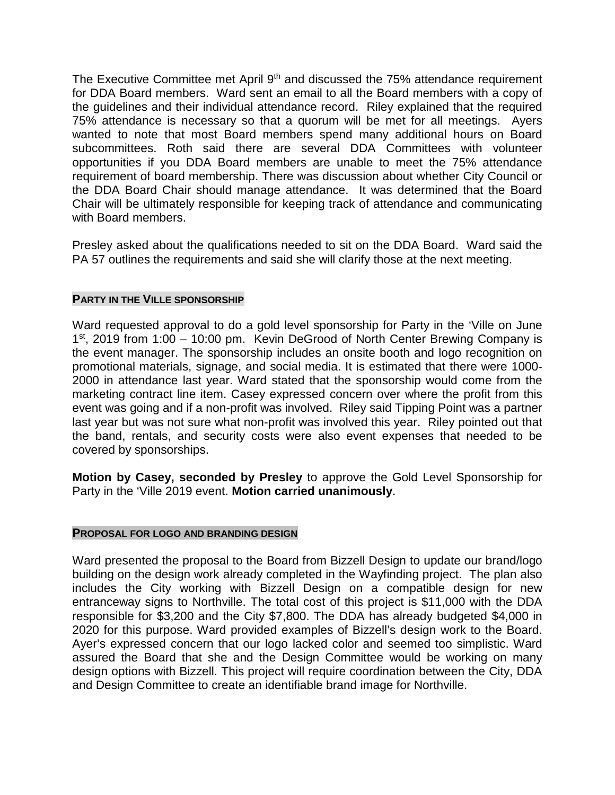The Executive Committee met April  $9<sup>th</sup>$  and discussed the 75% attendance requirement for DDA Board members. Ward sent an email to all the Board members with a copy of the guidelines and their individual attendance record. Riley explained that the required 75% attendance is necessary so that a quorum will be met for all meetings. Ayers wanted to note that most Board members spend many additional hours on Board subcommittees. Roth said there are several DDA Committees with volunteer opportunities if you DDA Board members are unable to meet the 75% attendance requirement of board membership. There was discussion about whether City Council or the DDA Board Chair should manage attendance. It was determined that the Board Chair will be ultimately responsible for keeping track of attendance and communicating with Board members.

Presley asked about the qualifications needed to sit on the DDA Board. Ward said the PA 57 outlines the requirements and said she will clarify those at the next meeting.

#### **PARTY IN THE VILLE SPONSORSHIP**

Ward requested approval to do a gold level sponsorship for Party in the 'Ville on June 1<sup>st</sup>, 2019 from 1:00 – 10:00 pm. Kevin DeGrood of North Center Brewing Company is the event manager. The sponsorship includes an onsite booth and logo recognition on promotional materials, signage, and social media. It is estimated that there were 1000- 2000 in attendance last year. Ward stated that the sponsorship would come from the marketing contract line item. Casey expressed concern over where the profit from this event was going and if a non-profit was involved. Riley said Tipping Point was a partner last year but was not sure what non-profit was involved this year. Riley pointed out that the band, rentals, and security costs were also event expenses that needed to be covered by sponsorships.

**Motion by Casey, seconded by Presley** to approve the Gold Level Sponsorship for Party in the 'Ville 2019 event. **Motion carried unanimously**.

#### **PROPOSAL FOR LOGO AND BRANDING DESIGN**

Ward presented the proposal to the Board from Bizzell Design to update our brand/logo building on the design work already completed in the Wayfinding project. The plan also includes the City working with Bizzell Design on a compatible design for new entranceway signs to Northville. The total cost of this project is \$11,000 with the DDA responsible for \$3,200 and the City \$7,800. The DDA has already budgeted \$4,000 in 2020 for this purpose. Ward provided examples of Bizzell's design work to the Board. Ayer's expressed concern that our logo lacked color and seemed too simplistic. Ward assured the Board that she and the Design Committee would be working on many design options with Bizzell. This project will require coordination between the City, DDA and Design Committee to create an identifiable brand image for Northville.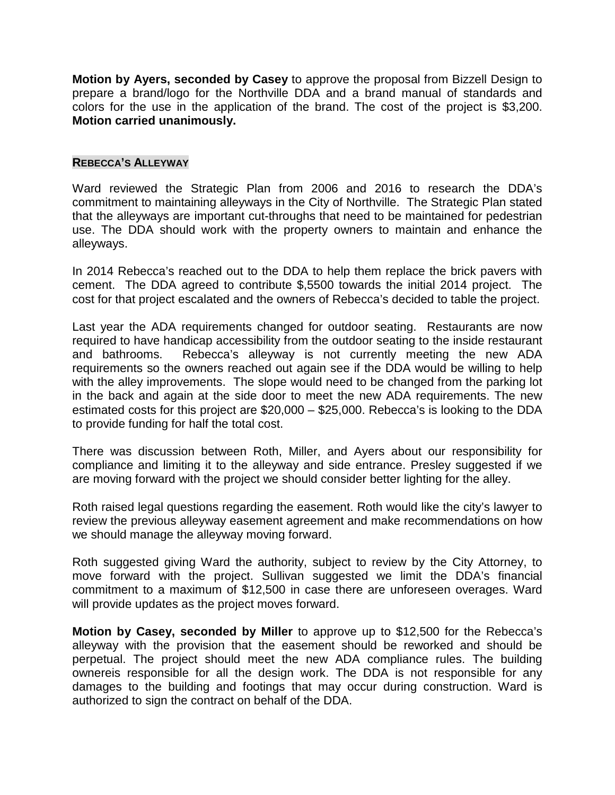**Motion by Ayers, seconded by Casey** to approve the proposal from Bizzell Design to prepare a brand/logo for the Northville DDA and a brand manual of standards and colors for the use in the application of the brand. The cost of the project is \$3,200. **Motion carried unanimously.**

#### **REBECCA'S ALLEYWAY**

Ward reviewed the Strategic Plan from 2006 and 2016 to research the DDA's commitment to maintaining alleyways in the City of Northville. The Strategic Plan stated that the alleyways are important cut-throughs that need to be maintained for pedestrian use. The DDA should work with the property owners to maintain and enhance the alleyways.

In 2014 Rebecca's reached out to the DDA to help them replace the brick pavers with cement. The DDA agreed to contribute \$,5500 towards the initial 2014 project. The cost for that project escalated and the owners of Rebecca's decided to table the project.

Last year the ADA requirements changed for outdoor seating. Restaurants are now required to have handicap accessibility from the outdoor seating to the inside restaurant and bathrooms. Rebecca's alleyway is not currently meeting the new ADA requirements so the owners reached out again see if the DDA would be willing to help with the alley improvements. The slope would need to be changed from the parking lot in the back and again at the side door to meet the new ADA requirements. The new estimated costs for this project are \$20,000 – \$25,000. Rebecca's is looking to the DDA to provide funding for half the total cost.

There was discussion between Roth, Miller, and Ayers about our responsibility for compliance and limiting it to the alleyway and side entrance. Presley suggested if we are moving forward with the project we should consider better lighting for the alley.

Roth raised legal questions regarding the easement. Roth would like the city's lawyer to review the previous alleyway easement agreement and make recommendations on how we should manage the alleyway moving forward.

Roth suggested giving Ward the authority, subject to review by the City Attorney, to move forward with the project. Sullivan suggested we limit the DDA's financial commitment to a maximum of \$12,500 in case there are unforeseen overages. Ward will provide updates as the project moves forward.

**Motion by Casey, seconded by Miller** to approve up to \$12,500 for the Rebecca's alleyway with the provision that the easement should be reworked and should be perpetual. The project should meet the new ADA compliance rules. The building ownereis responsible for all the design work. The DDA is not responsible for any damages to the building and footings that may occur during construction. Ward is authorized to sign the contract on behalf of the DDA.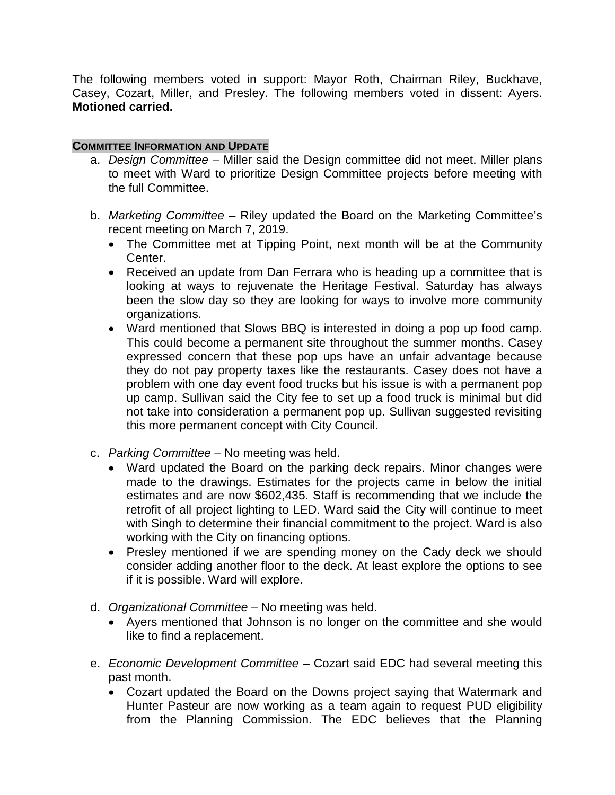The following members voted in support: Mayor Roth, Chairman Riley, Buckhave, Casey, Cozart, Miller, and Presley. The following members voted in dissent: Ayers. **Motioned carried.**

#### **COMMITTEE INFORMATION AND UPDATE**

- a. *Design Committee –* Miller said the Design committee did not meet. Miller plans to meet with Ward to prioritize Design Committee projects before meeting with the full Committee.
- b. *Marketing Committee –* Riley updated the Board on the Marketing Committee's recent meeting on March 7, 2019.
	- The Committee met at Tipping Point, next month will be at the Community Center.
	- Received an update from Dan Ferrara who is heading up a committee that is looking at ways to rejuvenate the Heritage Festival. Saturday has always been the slow day so they are looking for ways to involve more community organizations.
	- Ward mentioned that Slows BBQ is interested in doing a pop up food camp. This could become a permanent site throughout the summer months. Casey expressed concern that these pop ups have an unfair advantage because they do not pay property taxes like the restaurants. Casey does not have a problem with one day event food trucks but his issue is with a permanent pop up camp. Sullivan said the City fee to set up a food truck is minimal but did not take into consideration a permanent pop up. Sullivan suggested revisiting this more permanent concept with City Council.
- c. *Parking Committee –* No meeting was held.
	- Ward updated the Board on the parking deck repairs. Minor changes were made to the drawings. Estimates for the projects came in below the initial estimates and are now \$602,435. Staff is recommending that we include the retrofit of all project lighting to LED. Ward said the City will continue to meet with Singh to determine their financial commitment to the project. Ward is also working with the City on financing options.
	- Presley mentioned if we are spending money on the Cady deck we should consider adding another floor to the deck. At least explore the options to see if it is possible. Ward will explore.
- d. *Organizational Committee* No meeting was held.
	- Ayers mentioned that Johnson is no longer on the committee and she would like to find a replacement.
- e. *Economic Development Committee* Cozart said EDC had several meeting this past month.
	- Cozart updated the Board on the Downs project saying that Watermark and Hunter Pasteur are now working as a team again to request PUD eligibility from the Planning Commission. The EDC believes that the Planning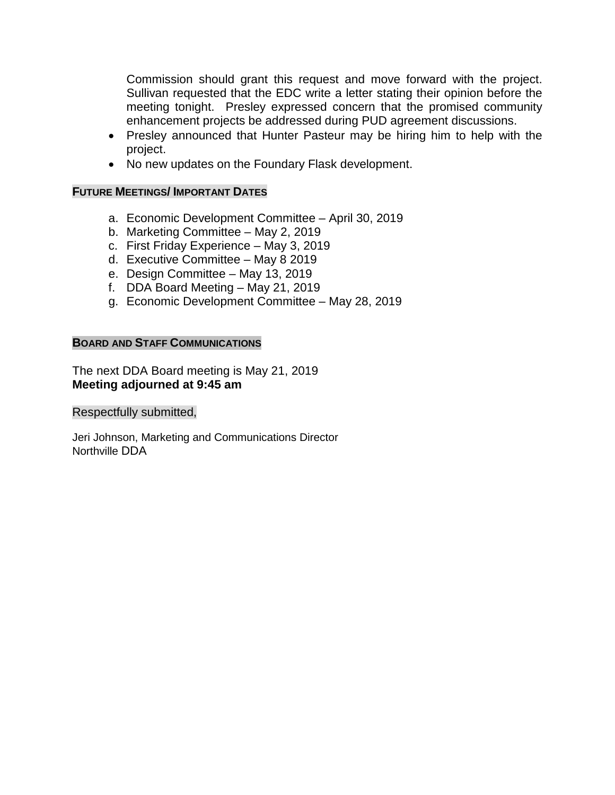Commission should grant this request and move forward with the project. Sullivan requested that the EDC write a letter stating their opinion before the meeting tonight. Presley expressed concern that the promised community enhancement projects be addressed during PUD agreement discussions.

- Presley announced that Hunter Pasteur may be hiring him to help with the project.
- No new updates on the Foundary Flask development.

### **FUTURE MEETINGS/ IMPORTANT DATES**

- a. Economic Development Committee April 30, 2019
- b. Marketing Committee May 2, 2019
- c. First Friday Experience May 3, 2019
- d. Executive Committee May 8 2019
- e. Design Committee May 13, 2019
- f. DDA Board Meeting May 21, 2019
- g. Economic Development Committee May 28, 2019

### **BOARD AND STAFF COMMUNICATIONS**

The next DDA Board meeting is May 21, 2019 **Meeting adjourned at 9:45 am**

Respectfully submitted,

Jeri Johnson, Marketing and Communications Director Northville DDA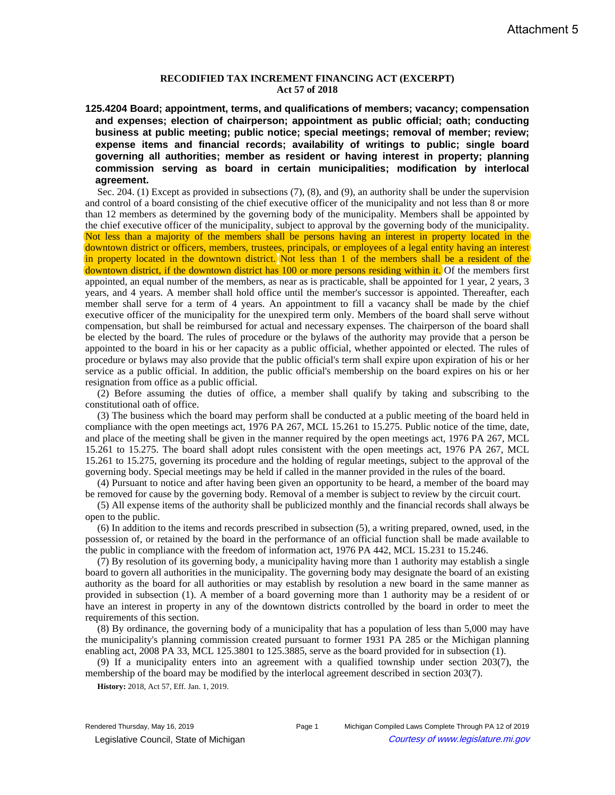#### **RECODIFIED TAX INCREMENT FINANCING ACT (EXCERPT) Act 57 of 2018**

**125.4204 Board; appointment, terms, and qualifications of members; vacancy; compensation and expenses; election of chairperson; appointment as public official; oath; conducting business at public meeting; public notice; special meetings; removal of member; review; expense items and financial records; availability of writings to public; single board governing all authorities; member as resident or having interest in property; planning commission serving as board in certain municipalities; modification by interlocal agreement.**

Sec. 204. (1) Except as provided in subsections (7), (8), and (9), an authority shall be under the supervision and control of a board consisting of the chief executive officer of the municipality and not less than 8 or more than 12 members as determined by the governing body of the municipality. Members shall be appointed by the chief executive officer of the municipality, subject to approval by the governing body of the municipality. Not less than a majority of the members shall be persons having an interest in property located in the downtown district or officers, members, trustees, principals, or employees of a legal entity having an interest in property located in the downtown district. Not less than 1 of the members shall be a resident of the downtown district, if the downtown district has 100 or more persons residing within it. Of the members first appointed, an equal number of the members, as near as is practicable, shall be appointed for 1 year, 2 years, 3 years, and 4 years. A member shall hold office until the member's successor is appointed. Thereafter, each member shall serve for a term of 4 years. An appointment to fill a vacancy shall be made by the chief executive officer of the municipality for the unexpired term only. Members of the board shall serve without compensation, but shall be reimbursed for actual and necessary expenses. The chairperson of the board shall be elected by the board. The rules of procedure or the bylaws of the authority may provide that a person be appointed to the board in his or her capacity as a public official, whether appointed or elected. The rules of procedure or bylaws may also provide that the public official's term shall expire upon expiration of his or her service as a public official. In addition, the public official's membership on the board expires on his or her resignation from office as a public official.

(2) Before assuming the duties of office, a member shall qualify by taking and subscribing to the constitutional oath of office.

(3) The business which the board may perform shall be conducted at a public meeting of the board held in compliance with the open meetings act, 1976 PA 267, MCL 15.261 to 15.275. Public notice of the time, date, and place of the meeting shall be given in the manner required by the open meetings act, 1976 PA 267, MCL 15.261 to 15.275. The board shall adopt rules consistent with the open meetings act, 1976 PA 267, MCL 15.261 to 15.275, governing its procedure and the holding of regular meetings, subject to the approval of the governing body. Special meetings may be held if called in the manner provided in the rules of the board.

(4) Pursuant to notice and after having been given an opportunity to be heard, a member of the board may be removed for cause by the governing body. Removal of a member is subject to review by the circuit court.

(5) All expense items of the authority shall be publicized monthly and the financial records shall always be open to the public.

(6) In addition to the items and records prescribed in subsection (5), a writing prepared, owned, used, in the possession of, or retained by the board in the performance of an official function shall be made available to the public in compliance with the freedom of information act, 1976 PA 442, MCL 15.231 to 15.246.

(7) By resolution of its governing body, a municipality having more than 1 authority may establish a single board to govern all authorities in the municipality. The governing body may designate the board of an existing authority as the board for all authorities or may establish by resolution a new board in the same manner as provided in subsection (1). A member of a board governing more than 1 authority may be a resident of or have an interest in property in any of the downtown districts controlled by the board in order to meet the requirements of this section.

(8) By ordinance, the governing body of a municipality that has a population of less than 5,000 may have the municipality's planning commission created pursuant to former 1931 PA 285 or the Michigan planning enabling act, 2008 PA 33, MCL 125.3801 to 125.3885, serve as the board provided for in subsection (1).

(9) If a municipality enters into an agreement with a qualified township under section 203(7), the membership of the board may be modified by the interlocal agreement described in section 203(7).

**History:** 2018, Act 57, Eff. Jan. 1, 2019.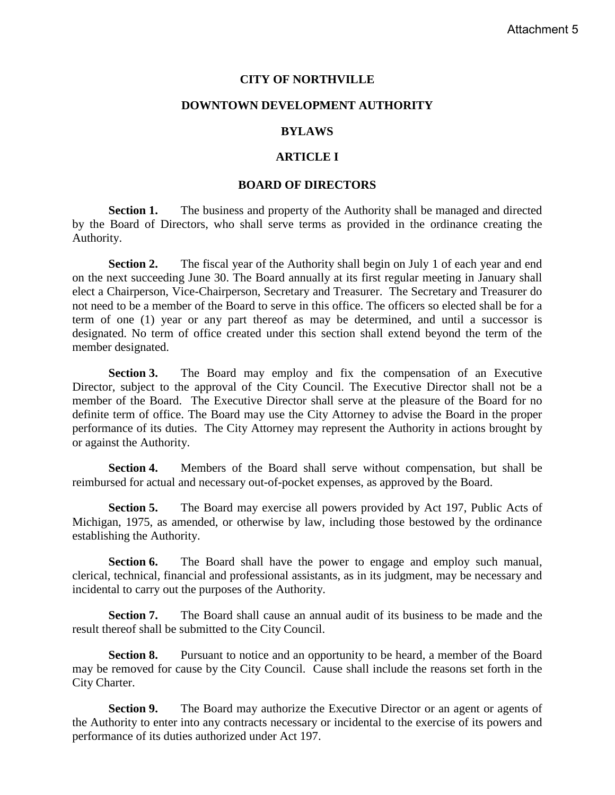#### **CITY OF NORTHVILLE**

#### **DOWNTOWN DEVELOPMENT AUTHORITY**

#### **BYLAWS**

#### **ARTICLE I**

#### **BOARD OF DIRECTORS**

**Section 1.** The business and property of the Authority shall be managed and directed by the Board of Directors, who shall serve terms as provided in the ordinance creating the Authority.

**Section 2.** The fiscal year of the Authority shall begin on July 1 of each year and end on the next succeeding June 30. The Board annually at its first regular meeting in January shall elect a Chairperson, Vice-Chairperson, Secretary and Treasurer. The Secretary and Treasurer do not need to be a member of the Board to serve in this office. The officers so elected shall be for a term of one (1) year or any part thereof as may be determined, and until a successor is designated. No term of office created under this section shall extend beyond the term of the member designated.

**Section 3.** The Board may employ and fix the compensation of an Executive Director, subject to the approval of the City Council. The Executive Director shall not be a member of the Board. The Executive Director shall serve at the pleasure of the Board for no definite term of office. The Board may use the City Attorney to advise the Board in the proper performance of its duties. The City Attorney may represent the Authority in actions brought by or against the Authority.

**Section 4.** Members of the Board shall serve without compensation, but shall be reimbursed for actual and necessary out-of-pocket expenses, as approved by the Board.

**Section 5.** The Board may exercise all powers provided by Act 197, Public Acts of Michigan, 1975, as amended, or otherwise by law, including those bestowed by the ordinance establishing the Authority.

**Section 6.** The Board shall have the power to engage and employ such manual, clerical, technical, financial and professional assistants, as in its judgment, may be necessary and incidental to carry out the purposes of the Authority.

**Section 7.** The Board shall cause an annual audit of its business to be made and the result thereof shall be submitted to the City Council.

**Section 8.** Pursuant to notice and an opportunity to be heard, a member of the Board may be removed for cause by the City Council. Cause shall include the reasons set forth in the City Charter.

**Section 9.** The Board may authorize the Executive Director or an agent or agents of the Authority to enter into any contracts necessary or incidental to the exercise of its powers and performance of its duties authorized under Act 197.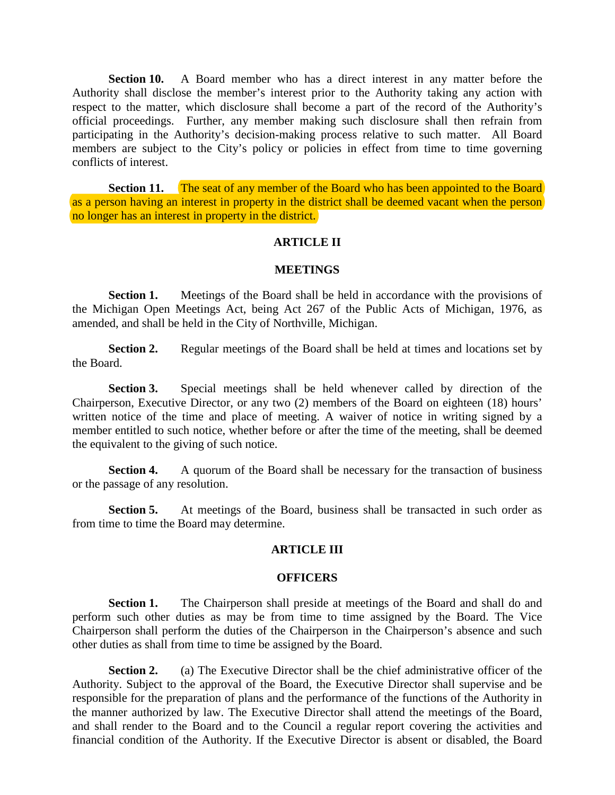**Section 10.** A Board member who has a direct interest in any matter before the Authority shall disclose the member's interest prior to the Authority taking any action with respect to the matter, which disclosure shall become a part of the record of the Authority's official proceedings. Further, any member making such disclosure shall then refrain from participating in the Authority's decision-making process relative to such matter. All Board members are subject to the City's policy or policies in effect from time to time governing conflicts of interest.

**Section 11.** The seat of any member of the Board who has been appointed to the Board as a person having an interest in property in the district shall be deemed vacant when the person no longer has an interest in property in the district.

#### **ARTICLE II**

#### **MEETINGS**

**Section 1.** Meetings of the Board shall be held in accordance with the provisions of the Michigan Open Meetings Act, being Act 267 of the Public Acts of Michigan, 1976, as amended, and shall be held in the City of Northville, Michigan.

**Section 2.** Regular meetings of the Board shall be held at times and locations set by the Board.

**Section 3.** Special meetings shall be held whenever called by direction of the Chairperson, Executive Director, or any two (2) members of the Board on eighteen (18) hours' written notice of the time and place of meeting. A waiver of notice in writing signed by a member entitled to such notice, whether before or after the time of the meeting, shall be deemed the equivalent to the giving of such notice.

**Section 4.** A quorum of the Board shall be necessary for the transaction of business or the passage of any resolution.

**Section 5.** At meetings of the Board, business shall be transacted in such order as from time to time the Board may determine.

#### **ARTICLE III**

#### **OFFICERS**

**Section 1.** The Chairperson shall preside at meetings of the Board and shall do and perform such other duties as may be from time to time assigned by the Board. The Vice Chairperson shall perform the duties of the Chairperson in the Chairperson's absence and such other duties as shall from time to time be assigned by the Board.

**Section 2.** (a) The Executive Director shall be the chief administrative officer of the Authority. Subject to the approval of the Board, the Executive Director shall supervise and be responsible for the preparation of plans and the performance of the functions of the Authority in the manner authorized by law. The Executive Director shall attend the meetings of the Board, and shall render to the Board and to the Council a regular report covering the activities and financial condition of the Authority. If the Executive Director is absent or disabled, the Board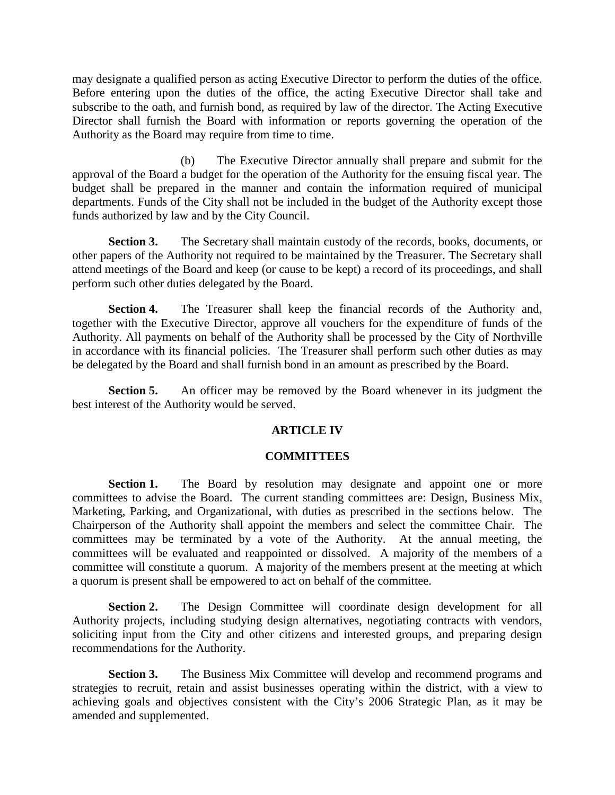may designate a qualified person as acting Executive Director to perform the duties of the office. Before entering upon the duties of the office, the acting Executive Director shall take and subscribe to the oath, and furnish bond, as required by law of the director. The Acting Executive Director shall furnish the Board with information or reports governing the operation of the Authority as the Board may require from time to time.

(b) The Executive Director annually shall prepare and submit for the approval of the Board a budget for the operation of the Authority for the ensuing fiscal year. The budget shall be prepared in the manner and contain the information required of municipal departments. Funds of the City shall not be included in the budget of the Authority except those funds authorized by law and by the City Council.

**Section 3.** The Secretary shall maintain custody of the records, books, documents, or other papers of the Authority not required to be maintained by the Treasurer. The Secretary shall attend meetings of the Board and keep (or cause to be kept) a record of its proceedings, and shall perform such other duties delegated by the Board.

**Section 4.** The Treasurer shall keep the financial records of the Authority and, together with the Executive Director, approve all vouchers for the expenditure of funds of the Authority. All payments on behalf of the Authority shall be processed by the City of Northville in accordance with its financial policies. The Treasurer shall perform such other duties as may be delegated by the Board and shall furnish bond in an amount as prescribed by the Board.

**Section 5.** An officer may be removed by the Board whenever in its judgment the best interest of the Authority would be served.

#### **ARTICLE IV**

#### **COMMITTEES**

**Section 1.** The Board by resolution may designate and appoint one or more committees to advise the Board. The current standing committees are: Design, Business Mix, Marketing, Parking, and Organizational, with duties as prescribed in the sections below. The Chairperson of the Authority shall appoint the members and select the committee Chair. The committees may be terminated by a vote of the Authority. At the annual meeting, the committees will be evaluated and reappointed or dissolved. A majority of the members of a committee will constitute a quorum. A majority of the members present at the meeting at which a quorum is present shall be empowered to act on behalf of the committee.

**Section 2.** The Design Committee will coordinate design development for all Authority projects, including studying design alternatives, negotiating contracts with vendors, soliciting input from the City and other citizens and interested groups, and preparing design recommendations for the Authority.

**Section 3.** The Business Mix Committee will develop and recommend programs and strategies to recruit, retain and assist businesses operating within the district, with a view to achieving goals and objectives consistent with the City's 2006 Strategic Plan, as it may be amended and supplemented.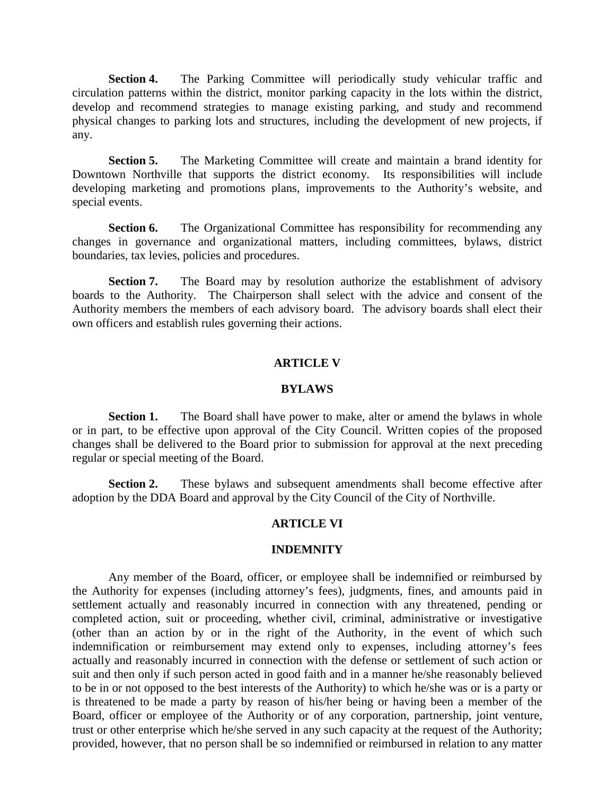**Section 4.** The Parking Committee will periodically study vehicular traffic and circulation patterns within the district, monitor parking capacity in the lots within the district, develop and recommend strategies to manage existing parking, and study and recommend physical changes to parking lots and structures, including the development of new projects, if any.

**Section 5.** The Marketing Committee will create and maintain a brand identity for Downtown Northville that supports the district economy. Its responsibilities will include developing marketing and promotions plans, improvements to the Authority's website, and special events.

**Section 6.** The Organizational Committee has responsibility for recommending any changes in governance and organizational matters, including committees, bylaws, district boundaries, tax levies, policies and procedures.

**Section 7.** The Board may by resolution authorize the establishment of advisory boards to the Authority. The Chairperson shall select with the advice and consent of the Authority members the members of each advisory board. The advisory boards shall elect their own officers and establish rules governing their actions.

#### **ARTICLE V**

#### **BYLAWS**

**Section 1.** The Board shall have power to make, alter or amend the bylaws in whole or in part, to be effective upon approval of the City Council. Written copies of the proposed changes shall be delivered to the Board prior to submission for approval at the next preceding regular or special meeting of the Board.

**Section 2.** These bylaws and subsequent amendments shall become effective after adoption by the DDA Board and approval by the City Council of the City of Northville.

#### **ARTICLE VI**

#### **INDEMNITY**

Any member of the Board, officer, or employee shall be indemnified or reimbursed by the Authority for expenses (including attorney's fees), judgments, fines, and amounts paid in settlement actually and reasonably incurred in connection with any threatened, pending or completed action, suit or proceeding, whether civil, criminal, administrative or investigative (other than an action by or in the right of the Authority, in the event of which such indemnification or reimbursement may extend only to expenses, including attorney's fees actually and reasonably incurred in connection with the defense or settlement of such action or suit and then only if such person acted in good faith and in a manner he/she reasonably believed to be in or not opposed to the best interests of the Authority) to which he/she was or is a party or is threatened to be made a party by reason of his/her being or having been a member of the Board, officer or employee of the Authority or of any corporation, partnership, joint venture, trust or other enterprise which he/she served in any such capacity at the request of the Authority; provided, however, that no person shall be so indemnified or reimbursed in relation to any matter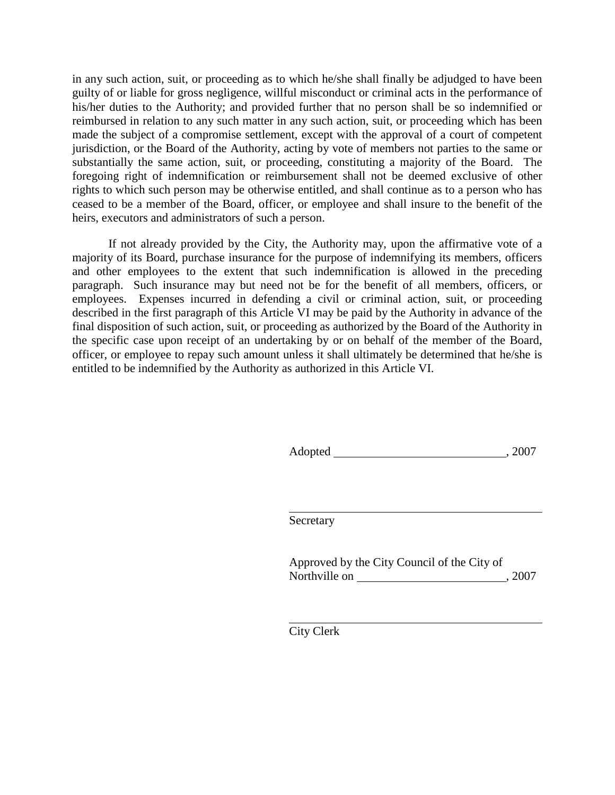in any such action, suit, or proceeding as to which he/she shall finally be adjudged to have been guilty of or liable for gross negligence, willful misconduct or criminal acts in the performance of his/her duties to the Authority; and provided further that no person shall be so indemnified or reimbursed in relation to any such matter in any such action, suit, or proceeding which has been made the subject of a compromise settlement, except with the approval of a court of competent jurisdiction, or the Board of the Authority, acting by vote of members not parties to the same or substantially the same action, suit, or proceeding, constituting a majority of the Board. The foregoing right of indemnification or reimbursement shall not be deemed exclusive of other rights to which such person may be otherwise entitled, and shall continue as to a person who has ceased to be a member of the Board, officer, or employee and shall insure to the benefit of the heirs, executors and administrators of such a person.

If not already provided by the City, the Authority may, upon the affirmative vote of a majority of its Board, purchase insurance for the purpose of indemnifying its members, officers and other employees to the extent that such indemnification is allowed in the preceding paragraph. Such insurance may but need not be for the benefit of all members, officers, or employees. Expenses incurred in defending a civil or criminal action, suit, or proceeding described in the first paragraph of this Article VI may be paid by the Authority in advance of the final disposition of such action, suit, or proceeding as authorized by the Board of the Authority in the specific case upon receipt of an undertaking by or on behalf of the member of the Board, officer, or employee to repay such amount unless it shall ultimately be determined that he/she is entitled to be indemnified by the Authority as authorized in this Article VI.

Adopted , 2007

Secretary

Approved by the City Council of the City of Northville on , 2007

City Clerk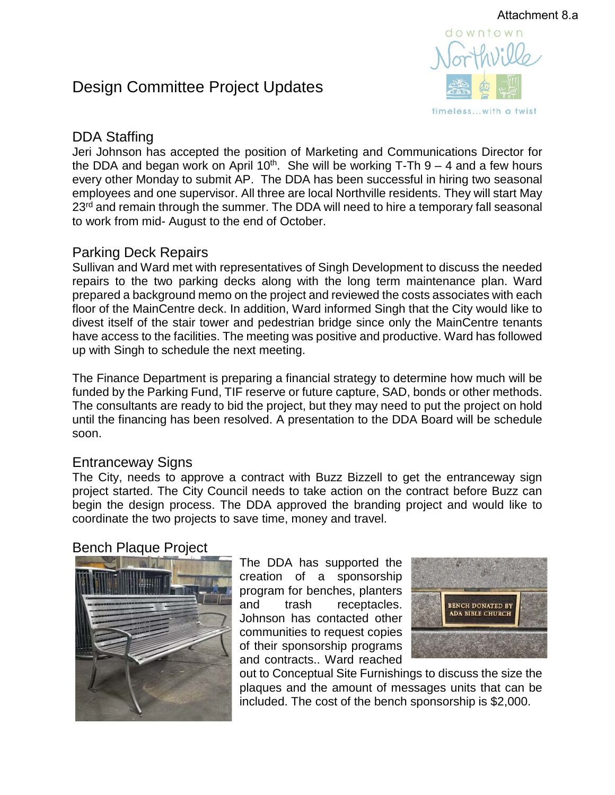# Design Committee Project Updates



# DDA Staffing

Jeri Johnson has accepted the position of Marketing and Communications Director for the DDA and began work on April 10<sup>th</sup>. She will be working T-Th  $9 - 4$  and a few hours every other Monday to submit AP. The DDA has been successful in hiring two seasonal employees and one supervisor. All three are local Northville residents. They will start May 23<sup>rd</sup> and remain through the summer. The DDA will need to hire a temporary fall seasonal to work from mid- August to the end of October.

### Parking Deck Repairs

Sullivan and Ward met with representatives of Singh Development to discuss the needed repairs to the two parking decks along with the long term maintenance plan. Ward prepared a background memo on the project and reviewed the costs associates with each floor of the MainCentre deck. In addition, Ward informed Singh that the City would like to divest itself of the stair tower and pedestrian bridge since only the MainCentre tenants have access to the facilities. The meeting was positive and productive. Ward has followed up with Singh to schedule the next meeting.

The Finance Department is preparing a financial strategy to determine how much will be funded by the Parking Fund, TIF reserve or future capture, SAD, bonds or other methods. The consultants are ready to bid the project, but they may need to put the project on hold until the financing has been resolved. A presentation to the DDA Board will be schedule soon.

### Entranceway Signs

The City, needs to approve a contract with Buzz Bizzell to get the entranceway sign project started. The City Council needs to take action on the contract before Buzz can begin the design process. The DDA approved the branding project and would like to coordinate the two projects to save time, money and travel.

### Bench Plaque Project



The DDA has supported the creation of a sponsorship program for benches, planters and trash receptacles. Johnson has contacted other communities to request copies of their sponsorship programs and contracts.. Ward reached



out to Conceptual Site Furnishings to discuss the size the plaques and the amount of messages units that can be included. The cost of the bench sponsorship is \$2,000.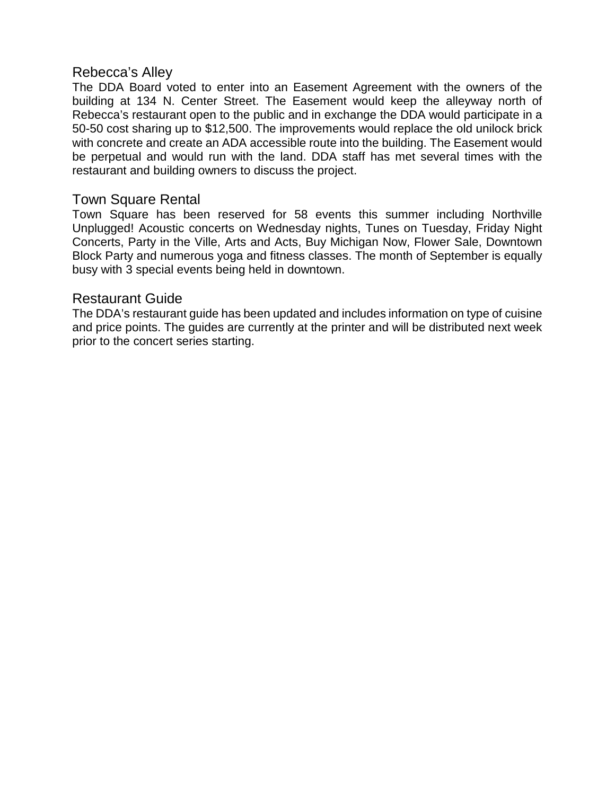### Rebecca's Alley

The DDA Board voted to enter into an Easement Agreement with the owners of the building at 134 N. Center Street. The Easement would keep the alleyway north of Rebecca's restaurant open to the public and in exchange the DDA would participate in a 50-50 cost sharing up to \$12,500. The improvements would replace the old unilock brick with concrete and create an ADA accessible route into the building. The Easement would be perpetual and would run with the land. DDA staff has met several times with the restaurant and building owners to discuss the project.

### Town Square Rental

Town Square has been reserved for 58 events this summer including Northville Unplugged! Acoustic concerts on Wednesday nights, Tunes on Tuesday, Friday Night Concerts, Party in the Ville, Arts and Acts, Buy Michigan Now, Flower Sale, Downtown Block Party and numerous yoga and fitness classes. The month of September is equally busy with 3 special events being held in downtown.

### Restaurant Guide

The DDA's restaurant guide has been updated and includes information on type of cuisine and price points. The guides are currently at the printer and will be distributed next week prior to the concert series starting.